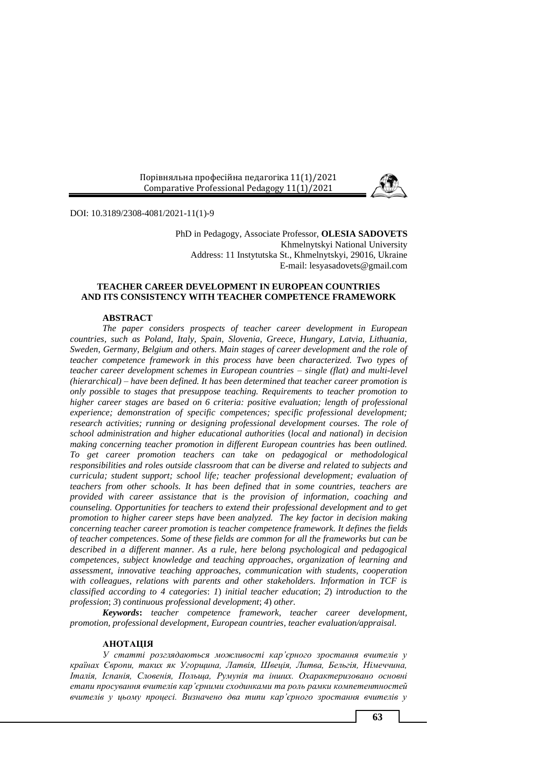

DOI: 10.3189/2308-4081/2021-11(1)-9

PhD in Pedagogy, Associate Professor, **OLESIA SADOVETS** Khmelnytskyi National University Address: 11 Instytutska St., Khmelnytskyi, 29016, Ukraine E-mail: [lesyasadovets@gmail.com](mailto:lesyasadovets@gmail.com)

# **TEACHER CAREER DEVELOPMENT IN EUROPEAN COUNTRIES AND ITS CONSISTENCY WITH TEACHER COMPETENCE FRAMEWORK**

# **ABSTRACT**

*The paper considers prospects of teacher career development in European countries, such as Poland, Italy, Spain, Slovenia, Greece, Hungary, Latvia, Lithuania, Sweden, Germany, Belgium and others. Main stages of career development and the role of teacher competence framework in this process have been characterized. Two types of teacher career development schemes in European countries – single (flat) and multi-level (hierarchical) – have been defined. It has been determined that teacher career promotion is only possible to stages that presuppose teaching. Requirements to teacher promotion to higher career stages are based on 6 criteria: positive evaluation; length of professional experience; demonstration of specific competences; specific professional development; research activities; running or designing professional development courses. The role of school administration and higher educational authorities* (*local and national*) *in decision making concerning teacher promotion in different European countries has been outlined. To get career promotion teachers can take on pedagogical or methodological responsibilities and roles outside classroom that can be diverse and related to subjects and curricula; student support; school life; teacher professional development; evaluation of teachers from other schools. It has been defined that in some countries, teachers are provided with career assistance that is the provision of information, coaching and counseling. Opportunities for teachers to extend their professional development and to get promotion to higher career steps have been analyzed. The key factor in decision making concerning teacher career promotion is teacher competence framework. It defines the fields of teacher competences. Some of these fields are common for all the frameworks but can be described in a different manner. As a rule, here belong psychological and pedagogical competences, subject knowledge and teaching approaches, organization of learning and assessment, innovative teaching approaches, communication with students, cooperation with colleagues, relations with parents and other stakeholders. Information in TCF is classified according to 4 categories*: *1*) *initial teacher education*; *2*) *introduction to the profession*; *3*) *continuous professional development*; *4*) *other.*

*Keywords***:** *teacher competence framework, teacher career development, promotion, professional development, European countries, teacher evaluation/appraisal.*

# **АНОТАЦІЯ**

*У статті розглядаються можливості кар'єрного зростання вчителів у країнах Європи, таких як Угорщина, Латвія, Швеція, Литва, Бельгія, Німеччина, Італія, Іспанія, Словенія, Польща, Румунія та інших. Охарактеризовано основні етапи просування вчителів кар'єрними сходинками та роль рамки компетентностей вчителів у цьому процесі. Визначено два типи кар'єрного зростання вчителів у*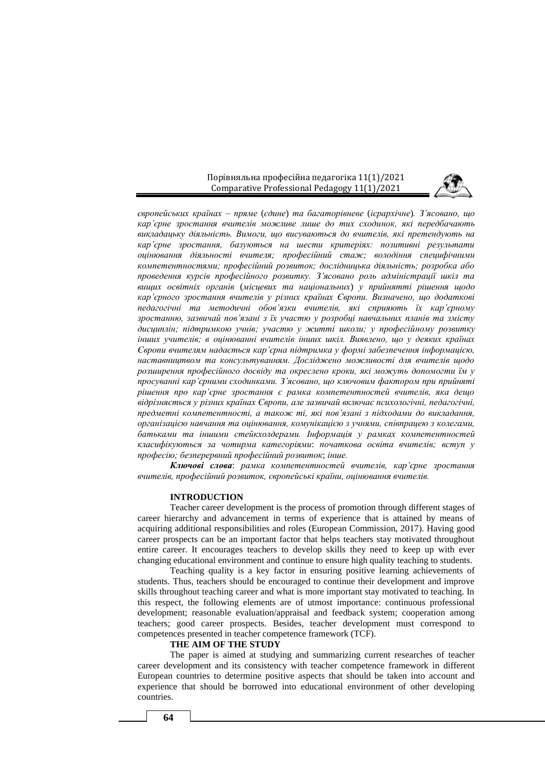

*європейських країнах – пряме* (*єдине*) *та багаторівневе* (*ієрархічне*)*. З'ясовано, що кар'єрне зростання вчителів можливе лише до тих сходинок, які передбачають викладацьку діяльність. Вимоги, що висуваються до вчителів, які претендують на кар'єрне зростання, базуються на шести критеріях: позитивні результати оцінювання діяльності вчителя; професійний стаж; володіння специфічними компетентностями; професійний розвиток; дослідницька діяльність; розробка або проведення курсів професійного розвитку. З'ясовано роль адміністрації шкіл та вищих освітніх органів* (*місцевих та національних*) *у прийнятті рішення щодо кар'єрного зростання вчителів у різних країнах Європи. Визначено, що додаткові педагогічні та методичні обов'язки вчителів, які сприяють їх кар'єрному зростанню, зазвичай пов'язані з їх участю у розробці навчальних планів та змісту дисциплін; підтримкою учнів; участю у житті школи; у професійному розвитку інших учителів; в оцінюванні вчителів інших шкіл. Виявлено, що у деяких країнах Європи вчителям надається кар'єрна підтримка у формі забезпечення інформацією, наставництвом та консультуванням. Досліджено можливості для вчителів щодо розширення професійного досвіду та окреслено кроки, які можуть допомогти їм у просуванні кар'єрними сходинками. З'ясовано, що ключовим фактором при прийняті рішення про кар'єрне зростання є рамка компетентностей вчителів, яка дещо відрізняється у різних країнах Європи, але зазвичай включає психологічні, педагогічні, предметні компетентності, а також ті, які пов'язані з підходами до викладання, організацією навчання та оцінювання, комунікацією з учнями, співпрацею з колегами, батьками та іншими стейкхолдерами. Інформація у рамках компетентностей класифікуються за чотирма категоріями*: *початкова освіта вчителів; вступ у професію; безперервний професійний розвиток*; *інше.* 

*Ключові слова*: *рамка компетентностей вчителів, кар'єрне зростання вчителів, професійний розвиток, європейські країни, оцінювання вчителів.*

## **INTRODUCTION**

Teacher career development is the process of promotion through different stages of career hierarchy and advancement in terms of experience that is attained by means of acquiring additional responsibilities and roles (European Commission, 2017). Having good career prospects can be an important factor that helps teachers stay motivated throughout entire career. It encourages teachers to develop skills they need to keep up with ever changing educational environment and continue to ensure high quality teaching to students.

Teaching quality is a key factor in ensuring positive learning achievements of students. Thus, teachers should be encouraged to continue their development and improve skills throughout teaching career and what is more important stay motivated to teaching. In this respect, the following elements are of utmost importance: continuous professional development; reasonable evaluation/appraisal and feedback system; cooperation among teachers; good career prospects. Besides, teacher development must correspond to competences presented in teacher competence framework (TCF).

## **THE AIM OF THE STUDY**

The paper is aimed at studying and summarizing current researches of teacher career development and its consistency with teacher competence framework in different European countries to determine positive aspects that should be taken into account and experience that should be borrowed into educational environment of other developing countries.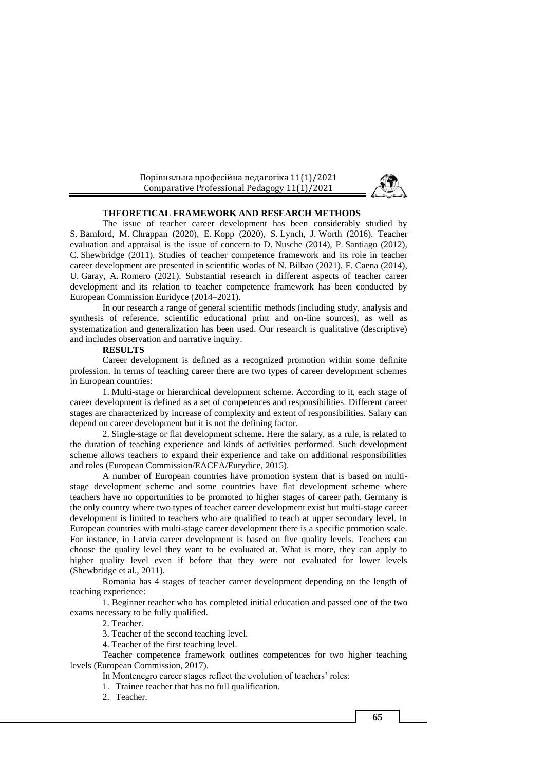

#### **THEORETICAL FRAMEWORK AND RESEARCH METHODS**

The issue of teacher career development has been considerably studied by S. Bamford, M. Chrappan (2020), E. Kopp (2020), S. Lynch, J. Worth (2016). Teacher evaluation and appraisal is the issue of concern to D. Nusche (2014), P. Santiago (2012), C. Shewbridge (2011). Studies of teacher competence framework and its role in teacher career development are presented in scientific works of N. Bilbao (2021), F. Caena (2014), U. Garay, A. Romero (2021). Substantial research in different aspects of teacher career development and its relation to teacher competence framework has been conducted by European Commission Euridyce (2014–2021).

In our research a range of general scientific methods (including study, analysis and synthesis of reference, scientific educational print and on-line sources), as well as systematization and generalization has been used. Our research is qualitative (descriptive) and includes observation and narrative inquiry.

### **RESULTS**

Career development is defined as a recognized promotion within some definite profession. In terms of teaching career there are two types of career development schemes in European countries:

1. Multi-stage or hierarchical development scheme. According to it, each stage of career development is defined as a set of competences and responsibilities. Different career stages are characterized by increase of complexity and extent of responsibilities. Salary can depend on career development but it is not the defining factor.

2. Single-stage or flat development scheme. Here the salary, as a rule, is related to the duration of teaching experience and kinds of activities performed. Such development scheme allows teachers to expand their experience and take on additional responsibilities and roles (European Commission/EACEA/Eurydice, 2015).

A number of European countries have promotion system that is based on multistage development scheme and some countries have flat development scheme where teachers have no opportunities to be promoted to higher stages of career path. Germany is the only country where two types of teacher career development exist but multi-stage career development is limited to teachers who are qualified to teach at upper secondary level. In European countries with multi-stage career development there is a specific promotion scale. For instance, in Latvia career development is based on five quality levels. Teachers can choose the quality level they want to be evaluated at. What is more, they can apply to higher quality level even if before that they were not evaluated for lower levels (Shewbridge et al., 2011).

Romania has 4 stages of teacher career development depending on the length of teaching experience:

1. Beginner teacher who has completed initial education and passed one of the two exams necessary to be fully qualified.

2. Teacher.

3. Teacher of the second teaching level.

4. Teacher of the first teaching level.

Teacher competence framework outlines competences for two higher teaching levels (European Commission, 2017).

In Montenegro career stages reflect the evolution of teachers' roles:

1. Trainee teacher that has no full qualification.

2. Teacher.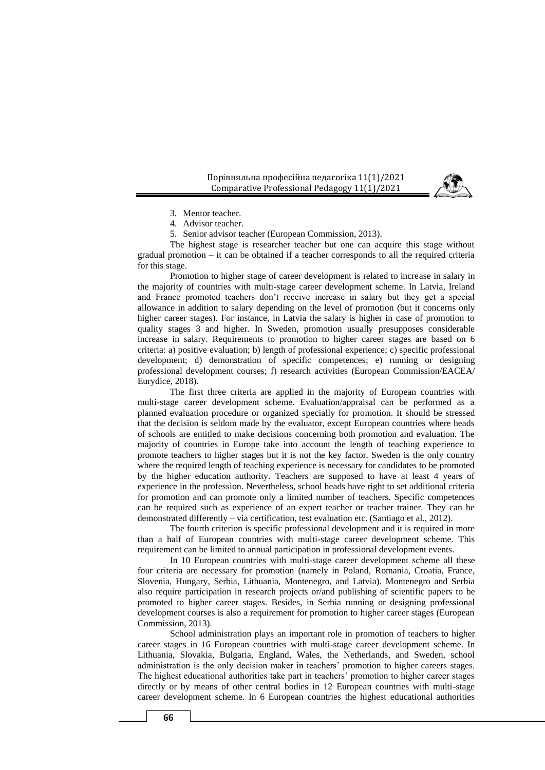

3. Mentor teacher.

4. Advisor teacher.

5. Senior advisor teacher (European Commission, 2013).

The highest stage is researcher teacher but one can acquire this stage without gradual promotion – it can be obtained if a teacher corresponds to all the required criteria for this stage.

Promotion to higher stage of career development is related to increase in salary in the majority of countries with multi-stage career development scheme. In Latvia, Ireland and France promoted teachers don't receive increase in salary but they get a special allowance in addition to salary depending on the level of promotion (but it concerns only higher career stages). For instance, in Latvia the salary is higher in case of promotion to quality stages 3 and higher. In Sweden, promotion usually presupposes considerable increase in salary. Requirements to promotion to higher career stages are based on 6 criteria: a) positive evaluation; b) length of professional experience; c) specific professional development; d) demonstration of specific competences; e) running or designing professional development courses; f) research activities (European Commission/EACEA/ Eurydice, 2018).

The first three criteria are applied in the majority of European countries with multi-stage career development scheme. Evaluation/appraisal can be performed as a planned evaluation procedure or organized specially for promotion. It should be stressed that the decision is seldom made by the evaluator, except European countries where heads of schools are entitled to make decisions concerning both promotion and evaluation. The majority of countries in Europe take into account the length of teaching experience to promote teachers to higher stages but it is not the key factor. Sweden is the only country where the required length of teaching experience is necessary for candidates to be promoted by the higher education authority. Teachers are supposed to have at least 4 years of experience in the profession. Nevertheless, school heads have right to set additional criteria for promotion and can promote only a limited number of teachers. Specific competences can be required such as experience of an expert teacher or teacher trainer. They can be demonstrated differently – via certification, test evaluation etc. (Santiago et al., 2012).

The fourth criterion is specific professional development and it is required in more than a half of European countries with multi-stage career development scheme. This requirement can be limited to annual participation in professional development events.

In 10 European countries with multi-stage career development scheme all these four criteria are necessary for promotion (namely in Poland, Romania, Croatia, France, Slovenia, Hungary, Serbia, Lithuania, Montenegro, and Latvia). Montenegro and Serbia also require participation in research projects or/and publishing of scientific papers to be promoted to higher career stages. Besides, in Serbia running or designing professional development courses is also a requirement for promotion to higher career stages (European Commission, 2013).

School administration plays an important role in promotion of teachers to higher career stages in 16 European countries with multi-stage career development scheme. In Lithuania, Slovakia, Bulgaria, England, Wales, the Netherlands, and Sweden, school administration is the only decision maker in teachers' promotion to higher careers stages. The highest educational authorities take part in teachers' promotion to higher career stages directly or by means of other central bodies in 12 European countries with multi-stage career development scheme. In 6 European countries the highest educational authorities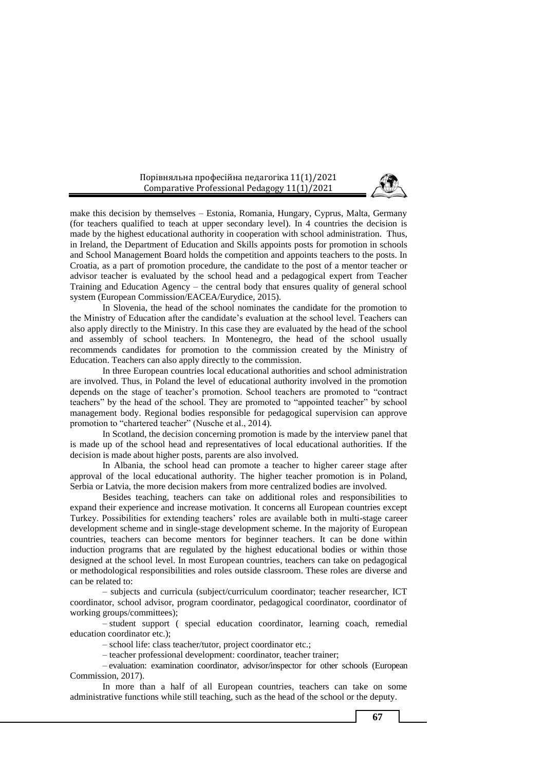

make this decision by themselves – Estonia, Romania, Hungary, Cyprus, Malta, Germany (for teachers qualified to teach at upper secondary level). In 4 countries the decision is made by the highest educational authority in cooperation with school administration. Thus, in Ireland, the Department of Education and Skills appoints posts for promotion in schools and School Management Board holds the competition and appoints teachers to the posts. In Croatia, as a part of promotion procedure, the candidate to the post of a mentor teacher or advisor teacher is evaluated by the school head and a pedagogical expert from Teacher Training and Education Agency – the central body that ensures quality of general school system (European Commission/EACEA/Eurydice, 2015).

In Slovenia, the head of the school nominates the candidate for the promotion to the Ministry of Education after the candidate's evaluation at the school level. Teachers can also apply directly to the Ministry. In this case they are evaluated by the head of the school and assembly of school teachers. In Montenegro, the head of the school usually recommends candidates for promotion to the commission created by the Ministry of Education. Teachers can also apply directly to the commission.

In three European countries local educational authorities and school administration are involved. Thus, in Poland the level of educational authority involved in the promotion depends on the stage of teacher's promotion. School teachers are promoted to "contract teachers" by the head of the school. They are promoted to "appointed teacher" by school management body. Regional bodies responsible for pedagogical supervision can approve promotion to "chartered teacher" (Nusche et al., 2014).

In Scotland, the decision concerning promotion is made by the interview panel that is made up of the school head and representatives of local educational authorities. If the decision is made about higher posts, parents are also involved.

In Albania, the school head can promote a teacher to higher career stage after approval of the local educational authority. The higher teacher promotion is in Poland, Serbia or Latvia, the more decision makers from more centralized bodies are involved.

Besides teaching, teachers can take on additional roles and responsibilities to expand their experience and increase motivation. It concerns all European countries except Turkey. Possibilities for extending teachers' roles are available both in multi-stage career development scheme and in single-stage development scheme. In the majority of European countries, teachers can become mentors for beginner teachers. It can be done within induction programs that are regulated by the highest educational bodies or within those designed at the school level. In most European countries, teachers can take on pedagogical or methodological responsibilities and roles outside classroom. These roles are diverse and can be related to:

– subjects and curricula (subject/curriculum coordinator; teacher researcher, ICT coordinator, school advisor, program coordinator, pedagogical coordinator, coordinator of working groups/committees);

– student support ( special education coordinator, learning coach, remedial education coordinator etc.);

– school life: class teacher/tutor, project coordinator etc.;

– teacher professional development: coordinator, teacher trainer;

– evaluation: examination coordinator, advisor/inspector for other schools (European Commission, 2017).

In more than a half of all European countries, teachers can take on some administrative functions while still teaching, such as the head of the school or the deputy.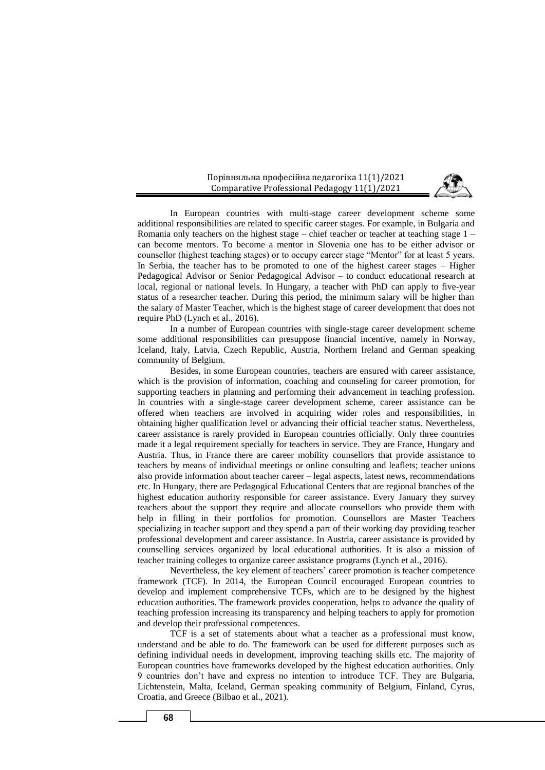

In European countries with multi-stage career development scheme some additional responsibilities are related to specific career stages. For example, in Bulgaria and Romania only teachers on the highest stage – chief teacher or teacher at teaching stage  $1$ can become mentors. To become a mentor in Slovenia one has to be either advisor or counsellor (highest teaching stages) or to occupy career stage "Mentor" for at least 5 years. In Serbia, the teacher has to be promoted to one of the highest career stages – Higher Pedagogical Advisor or Senior Pedagogical Advisor – to conduct educational research at local, regional or national levels. In Hungary, a teacher with PhD can apply to five-year status of a researcher teacher. During this period, the minimum salary will be higher than the salary of Master Teacher, which is the highest stage of career development that does not require PhD (Lynch et al., 2016).

In a number of European countries with single-stage career development scheme some additional responsibilities can presuppose financial incentive, namely in Norway, Iceland, Italy, Latvia, Czech Republic, Austria, Northern Ireland and German speaking community of Belgium.

Besides, in some European countries, teachers are ensured with career assistance, which is the provision of information, coaching and counseling for career promotion, for supporting teachers in planning and performing their advancement in teaching profession. In countries with a single-stage career development scheme, career assistance can be offered when teachers are involved in acquiring wider roles and responsibilities, in obtaining higher qualification level or advancing their official teacher status. Nevertheless, career assistance is rarely provided in European countries officially. Only three countries made it a legal requirement specially for teachers in service. They are France, Hungary and Austria. Thus, in France there are career mobility counsellors that provide assistance to teachers by means of individual meetings or online consulting and leaflets; teacher unions also provide information about teacher career – legal aspects, latest news, recommendations etc. In Hungary, there are Pedagogical Educational Centers that are regional branches of the highest education authority responsible for career assistance. Every January they survey teachers about the support they require and allocate counsellors who provide them with help in filling in their portfolios for promotion. Counsellors are Master Teachers specializing in teacher support and they spend a part of their working day providing teacher professional development and career assistance. In Austria, career assistance is provided by counselling services organized by local educational authorities. It is also a mission of teacher training colleges to organize career assistance programs (Lynch et al., 2016).

Nevertheless, the key element of teachers' career promotion is teacher competence framework (TCF). In 2014, the European Council encouraged European countries to develop and implement comprehensive TCFs, which are to be designed by the highest education authorities. The framework provides cooperation, helps to advance the quality of teaching profession increasing its transparency and helping teachers to apply for promotion and develop their professional competences.

TCF is a set of statements about what a teacher as a professional must know, understand and be able to do. The framework can be used for different purposes such as defining individual needs in development, improving teaching skills etc. The majority of European countries have frameworks developed by the highest education authorities. Only 9 countries don't have and express no intention to introduce TCF. They are Bulgaria, Lichtenstein, Malta, Iceland, German speaking community of Belgium, Finland, Cyrus, Croatia, and Greece (Bilbao et al., 2021).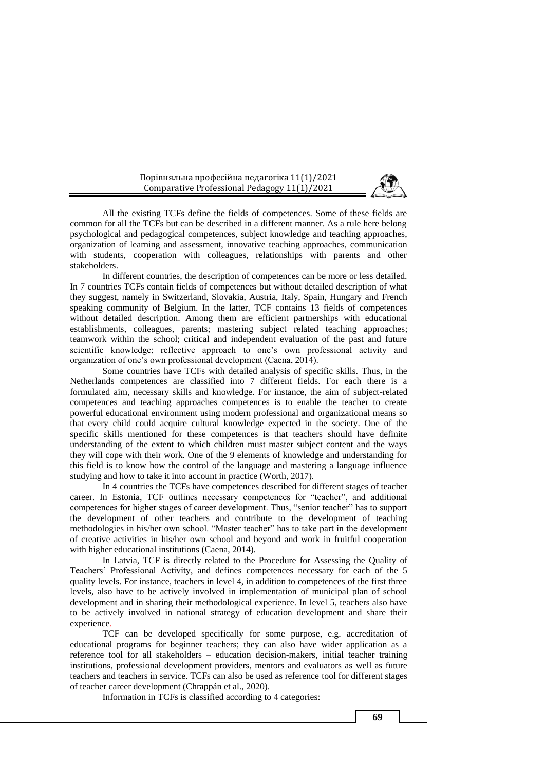

All the existing TCFs define the fields of competences. Some of these fields are common for all the TCFs but can be described in a different manner. As a rule here belong psychological and pedagogical competences, subject knowledge and teaching approaches, organization of learning and assessment, innovative teaching approaches, communication with students, cooperation with colleagues, relationships with parents and other stakeholders.

In different countries, the description of competences can be more or less detailed. In 7 countries TCFs contain fields of competences but without detailed description of what they suggest, namely in Switzerland, Slovakia, Austria, Italy, Spain, Hungary and French speaking community of Belgium. In the latter, TCF contains 13 fields of competences without detailed description. Among them are efficient partnerships with educational establishments, colleagues, parents; mastering subject related teaching approaches; teamwork within the school; critical and independent evaluation of the past and future scientific knowledge; reflective approach to one's own professional activity and organization of one's own professional development (Caena, 2014).

Some countries have TCFs with detailed analysis of specific skills. Thus, in the Netherlands competences are classified into 7 different fields. For each there is a formulated aim, necessary skills and knowledge. For instance, the aim of subject-related competences and teaching approaches competences is to enable the teacher to create powerful educational environment using modern professional and organizational means so that every child could acquire cultural knowledge expected in the society. One of the specific skills mentioned for these competences is that teachers should have definite understanding of the extent to which children must master subject content and the ways they will cope with their work. One of the 9 elements of knowledge and understanding for this field is to know how the control of the language and mastering a language influence studying and how to take it into account in practice (Worth, 2017).

In 4 countries the TCFs have competences described for different stages of teacher career. In Estonia, TCF outlines necessary competences for "teacher", and additional competences for higher stages of career development. Thus, "senior teacher" has to support the development of other teachers and contribute to the development of teaching methodologies in his/her own school. "Master teacher" has to take part in the development of creative activities in his/her own school and beyond and work in fruitful cooperation with higher educational institutions (Caena, 2014).

In Latvia, TCF is directly related to the Procedure for Assessing the Quality of Teachers' Professional Activity, and defines competences necessary for each of the 5 quality levels. For instance, teachers in level 4, in addition to competences of the first three levels, also have to be actively involved in implementation of municipal plan of school development and in sharing their methodological experience. In level 5, teachers also have to be actively involved in national strategy of education development and share their experience.

TCF can be developed specifically for some purpose, e.g. accreditation of educational programs for beginner teachers; they can also have wider application as a reference tool for all stakeholders – education decision-makers, initial teacher training institutions, professional development providers, mentors and evaluators as well as future teachers and teachers in service. TCFs can also be used as reference tool for different stages of teacher career development (Chrappán et al., 2020).

Information in TCFs is classified according to 4 categories: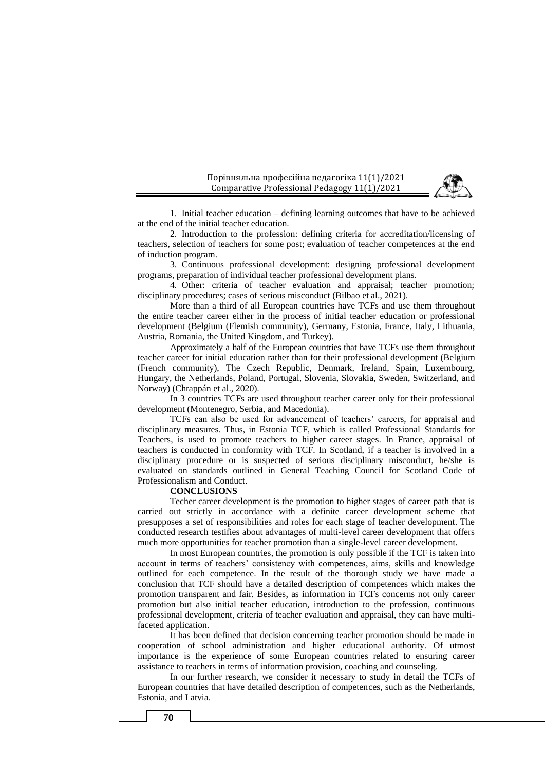

1. Initial teacher education – defining learning outcomes that have to be achieved at the end of the initial teacher education.

2. Introduction to the profession: defining criteria for accreditation/licensing of teachers, selection of teachers for some post; evaluation of teacher competences at the end of induction program.

3. Continuous professional development: designing professional development programs, preparation of individual teacher professional development plans.

4. Other: criteria of teacher evaluation and appraisal; teacher promotion; disciplinary procedures; cases of serious misconduct (Bilbao et al., 2021).

More than a third of all European countries have TCFs and use them throughout the entire teacher career either in the process of initial teacher education or professional development (Belgium (Flemish community), Germany, Estonia, France, Italy, Lithuania, Austria, Romania, the United Kingdom, and Turkey).

Approximately a half of the European countries that have TCFs use them throughout teacher career for initial education rather than for their professional development (Belgium (French community), The Czech Republic, Denmark, Ireland, Spain, Luxembourg, Hungary, the Netherlands, Poland, Portugal, Slovenia, Slovakia, Sweden, Switzerland, and Norway) (Chrappán et al., 2020).

In 3 countries TCFs are used throughout teacher career only for their professional development (Montenegro, Serbia, and Macedonia).

TCFs can also be used for advancement of teachers' careers, for appraisal and disciplinary measures. Thus, in Estonia TCF, which is called Professional Standards for Teachers, is used to promote teachers to higher career stages. In France, appraisal of teachers is conducted in conformity with TCF. In Scotland, if a teacher is involved in a disciplinary procedure or is suspected of serious disciplinary misconduct, he/she is evaluated on standards outlined in General Teaching Council for Scotland Code of Professionalism and Conduct.

#### **CONCLUSIONS**

Techer career development is the promotion to higher stages of career path that is carried out strictly in accordance with a definite career development scheme that presupposes a set of responsibilities and roles for each stage of teacher development. The conducted research testifies about advantages of multi-level career development that offers much more opportunities for teacher promotion than a single-level career development.

In most European countries, the promotion is only possible if the TCF is taken into account in terms of teachers' consistency with competences, aims, skills and knowledge outlined for each competence. In the result of the thorough study we have made a conclusion that TCF should have a detailed description of competences which makes the promotion transparent and fair. Besides, as information in TCFs concerns not only career promotion but also initial teacher education, introduction to the profession, continuous professional development, criteria of teacher evaluation and appraisal, they can have multifaceted application.

It has been defined that decision concerning teacher promotion should be made in cooperation of school administration and higher educational authority. Of utmost importance is the experience of some European countries related to ensuring career assistance to teachers in terms of information provision, coaching and counseling.

In our further research, we consider it necessary to study in detail the TCFs of European countries that have detailed description of competences, such as the Netherlands, Estonia, and Latvia.